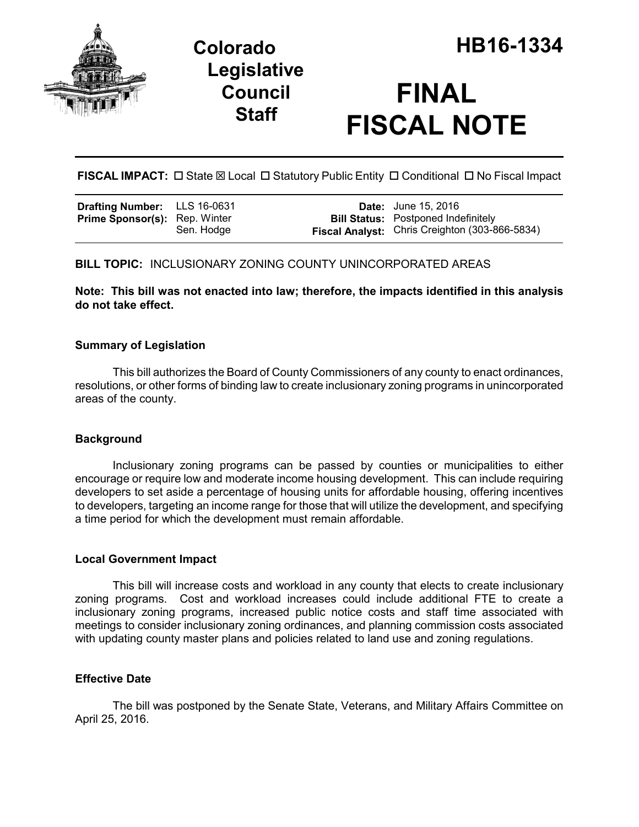

## **Legislative Council Staff**

# **FINAL FISCAL NOTE**

**FISCAL IMPACT:**  $\Box$  State  $\boxtimes$  Local  $\Box$  Statutory Public Entity  $\Box$  Conditional  $\Box$  No Fiscal Impact

| <b>Drafting Number:</b>  | LLS 16-0631 |
|--------------------------|-------------|
| <b>Prime Sponsor(s):</b> | Rep. Winter |
|                          | Sen. Hodge  |

**Date:** June 15, 2016 **Bill Status:** Postponed Indefinitely **Fiscal Analyst:** Chris Creighton (303-866-5834)

## **BILL TOPIC:** INCLUSIONARY ZONING COUNTY UNINCORPORATED AREAS

**Note: This bill was not enacted into law; therefore, the impacts identified in this analysis do not take effect.** 

## **Summary of Legislation**

This bill authorizes the Board of County Commissioners of any county to enact ordinances, resolutions, or other forms of binding law to create inclusionary zoning programs in unincorporated areas of the county.

## **Background**

Inclusionary zoning programs can be passed by counties or municipalities to either encourage or require low and moderate income housing development. This can include requiring developers to set aside a percentage of housing units for affordable housing, offering incentives to developers, targeting an income range for those that will utilize the development, and specifying a time period for which the development must remain affordable.

### **Local Government Impact**

This bill will increase costs and workload in any county that elects to create inclusionary zoning programs. Cost and workload increases could include additional FTE to create a inclusionary zoning programs, increased public notice costs and staff time associated with meetings to consider inclusionary zoning ordinances, and planning commission costs associated with updating county master plans and policies related to land use and zoning regulations.

### **Effective Date**

The bill was postponed by the Senate State, Veterans, and Military Affairs Committee on April 25, 2016.